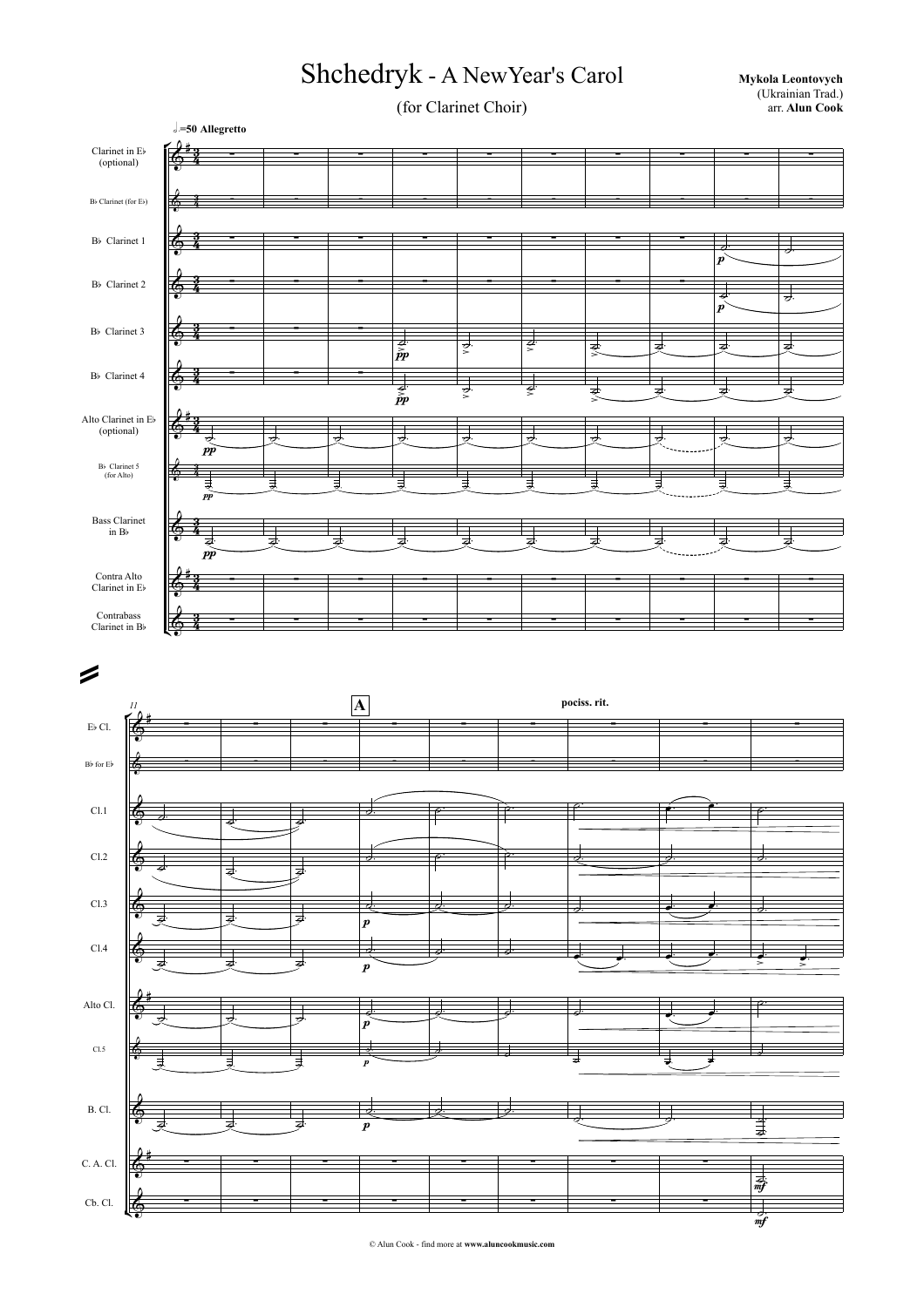## Shchedryk - A New Year's Carol Mykola Leontovych

(for Clarinet Choir)

 (Ukrainian Trad.) arr. **Alun Cook**